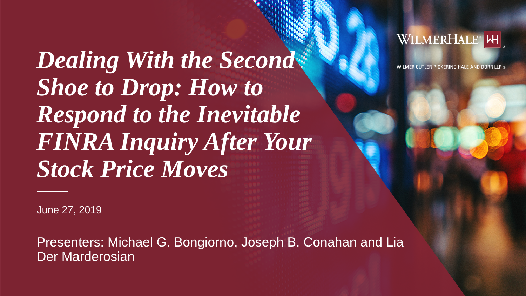*Dealing With the Second Shoe to Drop: How to Respond to the Inevitable FINRA Inquiry After Your Stock Price Moves*

Presenters: Michael G. Bongiorno, Joseph B. Conahan and Lia Der Marderosian



WILMER CUTLER PICKERING HALE AND DORR LLP ®

June 27, 2019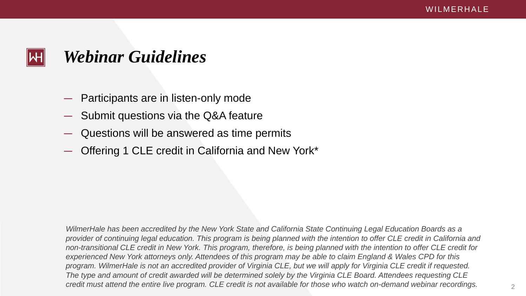- Participants are in listen-only mode
- Submit questions via the Q&A feature
- Questions will be answered as time permits
- Offering 1 CLE credit in California and New York\*



### *Webinar Guidelines*

*WilmerHale has been accredited by the New York State and California State Continuing Legal Education Boards as a provider of continuing legal education. This program is being planned with the intention to offer CLE credit in California and non-transitional CLE credit in New York. This program, therefore, is being planned with the intention to offer CLE credit for*  experienced New York attorneys only. Attendees of this program may be able to claim England & Wales CPD for this *program. WilmerHale is not an accredited provider of Virginia CLE, but we will apply for Virginia CLE credit if requested. The type and amount of credit awarded will be determined solely by the Virginia CLE Board. Attendees requesting CLE credit must attend the entire live program. CLE credit is not available for those who watch on-demand webinar recordings.*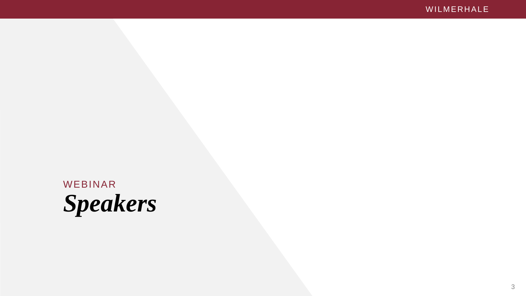WEBINAR *Speakers*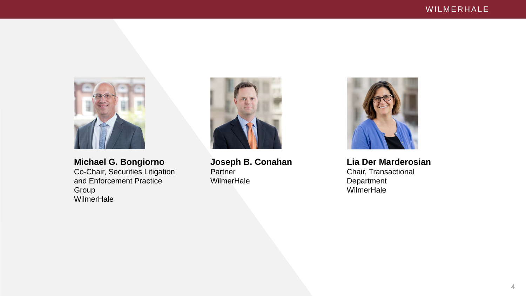

**Joseph B. Conahan Partner WilmerHale** 



#### **Michael G. Bongiorno** Co-Chair, Securities Litigation and Enforcement Practice Group WilmerHale



### **Lia Der Marderosian** Chair, Transactional Department

**WilmerHale**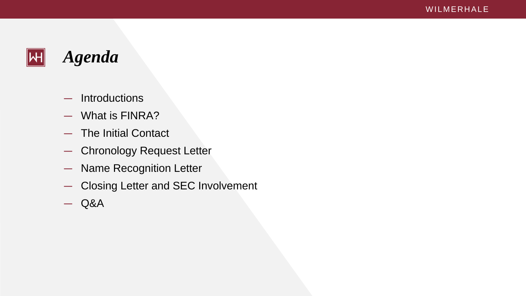

### *Agenda*

- Introductions
- What is FINRA?
- The Initial Contact
- Chronology Request Letter
- Name Recognition Letter
- Closing Letter and SEC Involvement
- Q&A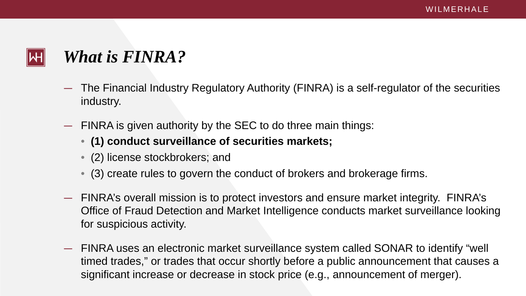

# *What is FINRA?*

- The Financial Industry Regulatory Authority (FINRA) is a self-regulator of the securities industry.
- FINRA is given authority by the SEC to do three main things:
	- **(1) conduct surveillance of securities markets;**
	- (2) license stockbrokers; and
	- (3) create rules to govern the conduct of brokers and brokerage firms.
- FINRA's overall mission is to protect investors and ensure market integrity. FINRA's Office of Fraud Detection and Market Intelligence conducts market surveillance looking for suspicious activity.
- FINRA uses an electronic market surveillance system called SONAR to identify "well timed trades," or trades that occur shortly before a public announcement that causes a significant increase or decrease in stock price (e.g., announcement of merger).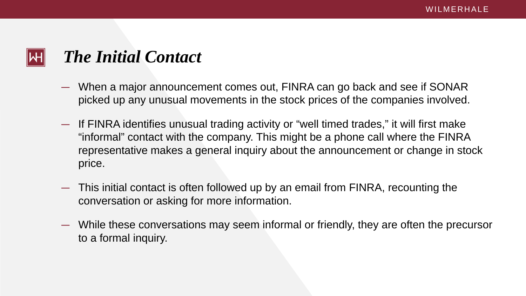# *The Initial Contact*

- When a major announcement comes out, FINRA can go back and see if SONAR picked up any unusual movements in the stock prices of the companies involved.
- If FINRA identifies unusual trading activity or "well timed trades," it will first make "informal" contact with the company. This might be a phone call where the FINRA representative makes a general inquiry about the announcement or change in stock price.
- This initial contact is often followed up by an email from FINRA, recounting the conversation or asking for more information.
- While these conversations may seem informal or friendly, they are often the precursor to a formal inquiry.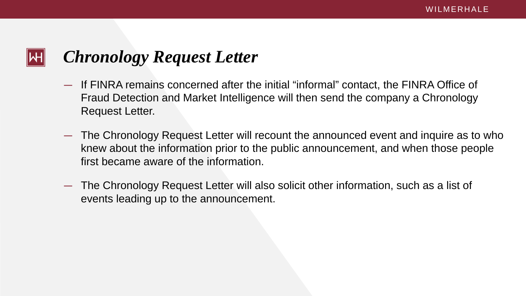

# *Chronology Request Letter*

- If FINRA remains concerned after the initial "informal" contact, the FINRA Office of Fraud Detection and Market Intelligence will then send the company a Chronology Request Letter.
- The Chronology Request Letter will recount the announced event and inquire as to who knew about the information prior to the public announcement, and when those people first became aware of the information.
- The Chronology Request Letter will also solicit other information, such as a list of events leading up to the announcement.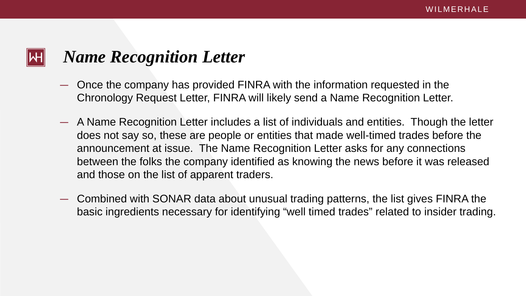### *Name Recognition Letter*

- Once the company has provided FINRA with the information requested in the Chronology Request Letter, FINRA will likely send a Name Recognition Letter.
- A Name Recognition Letter includes a list of individuals and entities. Though the letter does not say so, these are people or entities that made well-timed trades before the announcement at issue. The Name Recognition Letter asks for any connections between the folks the company identified as knowing the news before it was released and those on the list of apparent traders.
- Combined with SONAR data about unusual trading patterns, the list gives FINRA the basic ingredients necessary for identifying "well timed trades" related to insider trading.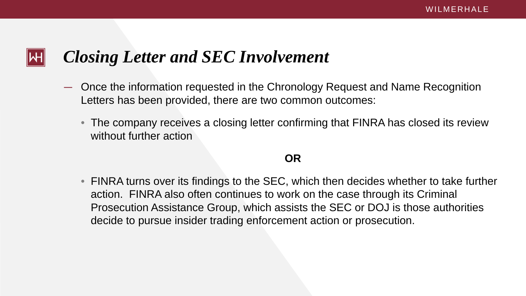- Once the information requested in the Chronology Request and Name Recognition Letters has been provided, there are two common outcomes:
	- The company receives a closing letter confirming that FINRA has closed its review without further action

### *Closing Letter and SEC Involvement*

### **OR**

• FINRA turns over its findings to the SEC, which then decides whether to take further action. FINRA also often continues to work on the case through its Criminal Prosecution Assistance Group, which assists the SEC or DOJ is those authorities decide to pursue insider trading enforcement action or prosecution.